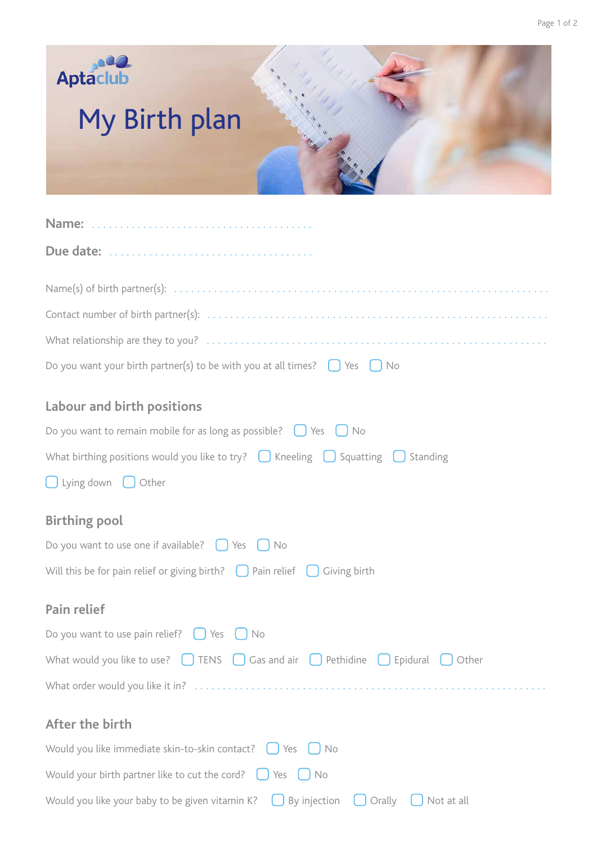



| Do you want your birth partner(s) to be with you at all times? $\Box$ Yes $\Box$ No |  |  |  |  |
|-------------------------------------------------------------------------------------|--|--|--|--|
|-------------------------------------------------------------------------------------|--|--|--|--|

## **Labour and birth positions**

| Do you want to remain mobile for as long as possible? $\bigcup$ Yes<br>J No                          |
|------------------------------------------------------------------------------------------------------|
| What birthing positions would you like to try? $\Box$ Kneeling $\Box$ Squatting $\Box$ Standing      |
| $\bigcup$ Lying down $\bigcup$ Other                                                                 |
| <b>Birthing pool</b>                                                                                 |
| Do you want to use one if available? $\bigcup$ Yes $\bigcup$ No                                      |
| Will this be for pain relief or giving birth? $\Box$ Pain relief $\Box$ Giving birth                 |
| Pain relief                                                                                          |
| Do you want to use pain relief? $\bigcup$ Yes $\bigcup$<br><b>No</b>                                 |
| What would you like to use? $\Box$ TENS $\Box$ Gas and air $\Box$ Pethidine $\Box$ Epidural<br>Other |
|                                                                                                      |
| After the birth                                                                                      |
| Would you like immediate skin-to-skin contact? $\bigcup$ Yes $\bigcup$ No                            |
| Would your birth partner like to cut the cord? $\bigcup$ Yes $\bigcup$ No                            |
| Would you like your baby to be given vitamin K?<br>By injection<br>Orally<br>Not at all              |